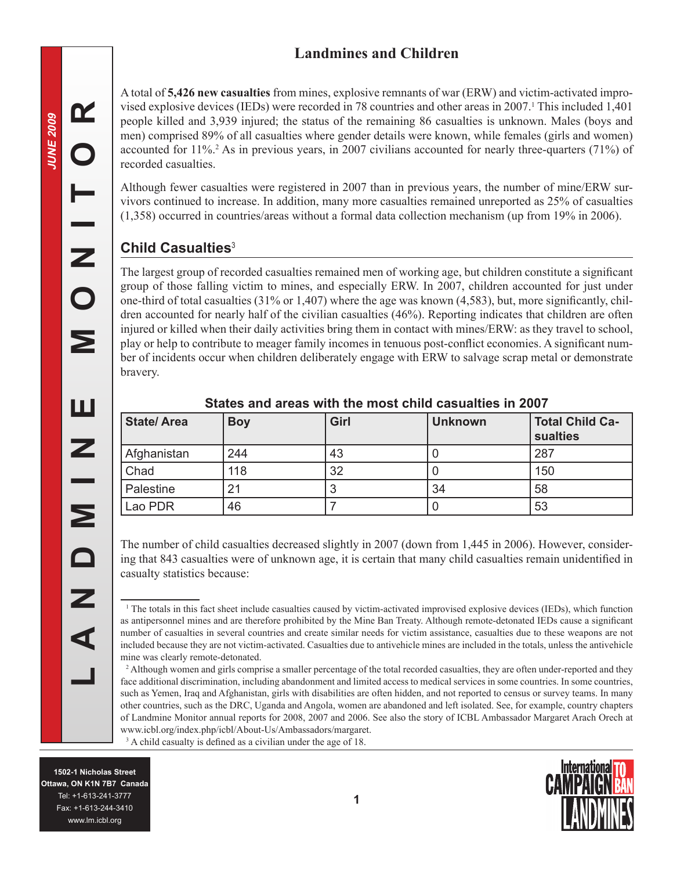# **Landmines and Children**

A total of **5,426 new casualties** from mines, explosive remnants of war (ERW) and victim-activated improvised explosive devices (IEDs) were recorded in 78 countries and other areas in 2007. This included 1,401 people killed and 3,939 injured; the status of the remaining 86 casualties is unknown. Males (boys and men) comprised 89% of all casualties where gender details were known, while females (girls and women) accounted for 11%. As in previous years, in 2007 civilians accounted for nearly three-quarters (71%) of recorded casualties.

Although fewer casualties were registered in 2007 than in previous years, the number of mine/ERW survivors continued to increase. In addition, many more casualties remained unreported as 25% of casualties (1,358) occurred in countries/areas without a formal data collection mechanism (up from 19% in 2006).

## **Child Casualties**

The largest group of recorded casualties remained men of working age, but children constitute a significant group of those falling victim to mines, and especially ERW. In 2007, children accounted for just under one-third of total casualties (31% or 1,407) where the age was known (4,583), but, more significantly, children accounted for nearly half of the civilian casualties (46%). Reporting indicates that children are often injured or killed when their daily activities bring them in contact with mines/ERW: as they travel to school, play or help to contribute to meager family incomes in tenuous post-conflict economies. A significant number of incidents occur when children deliberately engage with ERW to salvage scrap metal or demonstrate bravery.

| <b>State/Area</b> | <b>Boy</b> | Girl | <b>Unknown</b> | <b>Total Child Ca-</b><br>sualties |
|-------------------|------------|------|----------------|------------------------------------|
| Afghanistan       | 244        | 43   |                | 287                                |
| Chad              | 118        | 32   | U              | 150                                |
| Palestine         | 21         |      | 34             | 58                                 |
| Lao PDR           | 46         |      |                | 53                                 |

#### **States and areas with the most child casualties in 2007**

The number of child casualties decreased slightly in 2007 (down from 1,445 in 2006). However, considering that 843 casualties were of unknown age, it is certain that many child casualties remain unidentified in casualty statistics because:

<sup>1</sup> The totals in this fact sheet include casualties caused by victim-activated improvised explosive devices (IEDs), which function as antipersonnel mines and are therefore prohibited by the Mine Ban Treaty. Although remote-detonated IEDs cause a significant number of casualties in several countries and create similar needs for victim assistance, casualties due to these weapons are not included because they are not victim-activated. Casualties due to antivehicle mines are included in the totals, unless the antivehicle mine was clearly remote-detonated.

<sup>2</sup> Although women and girls comprise a smaller percentage of the total recorded casualties, they are often under-reported and they face additional discrimination, including abandonment and limited access to medical services in some countries. In some countries, such as Yemen, Iraq and Afghanistan, girls with disabilities are often hidden, and not reported to census or survey teams. In many other countries, such as the DRC, Uganda and Angola, women are abandoned and left isolated. See, for example, country chapters of Landmine Monitor annual reports for 2008, 2007 and 2006. See also the story of ICBL Ambassador Margaret Arach Orech at www.icbl.org/index.php/icbl/About-Us/Ambassadors/margaret. <sup>3</sup> A child casualty is defined as a civilian under the age of 18.

ENDIZIE DENDRAMENT DENDRAMENT DENDRAMENT DEN DENDRAMENT DEN DENDRAMENT DES SALLES **1502-1 Nicholas Street Ottawa, ON K1N 7B7 Canada** Tel: +1-613-241-3777 Fax: +1-613-244-3410 www.lm.icbl.org

 $\mathbf{\alpha}$ 

C

Z

 $\overline{\mathbf{O}}$ 

Σ

ш

Z

 $\overline{\mathbf{z}}$ 

 $\Box$ 

Z

 $\blacktriangleleft$ 

Internationa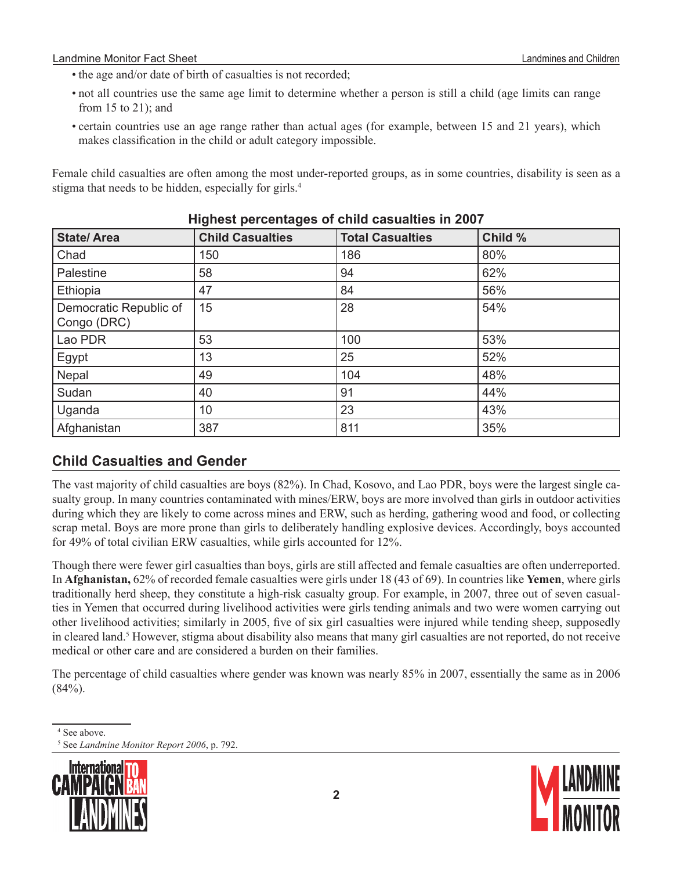#### Landmine Monitor Fact Sheet **Landmines and Children** Landmines and Children Landmines and Children

- the age and/or date of birth of casualties is not recorded;
- not all countries use the same age limit to determine whether a person is still a child (age limits can range from 15 to 21); and
- certain countries use an age range rather than actual ages (for example, between 15 and 21 years), which makes classification in the child or adult category impossible.

Female child casualties are often among the most under-reported groups, as in some countries, disability is seen as a stigma that needs to be hidden, especially for girls.

| <b>State/Area</b>                     | <b>Child Casualties</b> | <b>Total Casualties</b> | Child % |  |  |
|---------------------------------------|-------------------------|-------------------------|---------|--|--|
| Chad                                  | 150                     | 186                     | 80%     |  |  |
| Palestine                             | 58                      | 94                      | 62%     |  |  |
| Ethiopia                              | 47                      | 84                      | 56%     |  |  |
| Democratic Republic of<br>Congo (DRC) | 15                      | 28                      | 54%     |  |  |
| Lao PDR                               | 53                      | 100                     | 53%     |  |  |
| Egypt                                 | 13                      | 25                      | 52%     |  |  |
| Nepal                                 | 49                      | 104                     | 48%     |  |  |
| Sudan                                 | 40                      | 91                      | 44%     |  |  |
| Uganda                                | 10                      | 23                      | 43%     |  |  |
| Afghanistan                           | 387                     | 811                     | 35%     |  |  |

### **Highest percentages of child casualties in 2007**

### **Child Casualties and Gender**

The vast majority of child casualties are boys (82%). In Chad, Kosovo, and Lao PDR, boys were the largest single casualty group. In many countries contaminated with mines/ERW, boys are more involved than girls in outdoor activities during which they are likely to come across mines and ERW, such as herding, gathering wood and food, or collecting scrap metal. Boys are more prone than girls to deliberately handling explosive devices. Accordingly, boys accounted for 49% of total civilian ERW casualties, while girls accounted for 12%.

Though there were fewer girl casualties than boys, girls are still affected and female casualties are often underreported. In **Afghanistan,** 62% of recorded female casualties were girls under 18 (43 of 69). In countries like **Yemen**, where girls traditionally herd sheep, they constitute a high-risk casualty group. For example, in 2007, three out of seven casualties in Yemen that occurred during livelihood activities were girls tending animals and two were women carrying out other livelihood activities; similarly in 2005, five of six girl casualties were injured while tending sheep, supposedly in cleared land.<sup>5</sup> However, stigma about disability also means that many girl casualties are not reported, do not receive medical or other care and are considered a burden on their families.

The percentage of child casualties where gender was known was nearly 85% in 2007, essentially the same as in 2006  $(84\%)$ .

See *Landmine Monitor Report 2006*, p. 792.





<sup>&</sup>lt;sup>4</sup> See above.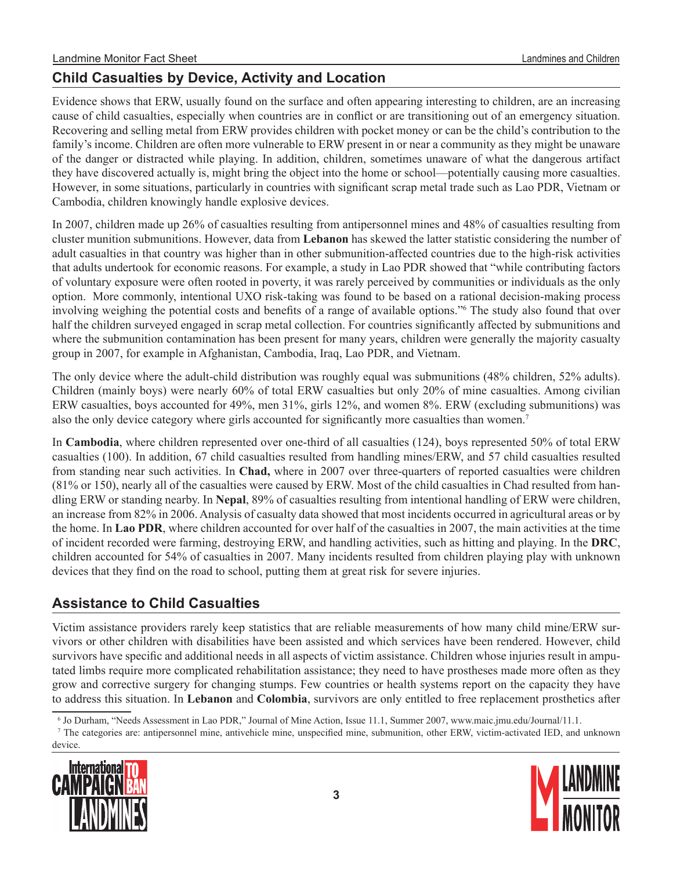## **Child Casualties by Device, Activity and Location**

Evidence shows that ERW, usually found on the surface and often appearing interesting to children, are an increasing cause of child casualties, especially when countries are in conflict or are transitioning out of an emergency situation. Recovering and selling metal from ERW provides children with pocket money or can be the child's contribution to the family's income. Children are often more vulnerable to ERW present in or near a community as they might be unaware of the danger or distracted while playing. In addition, children, sometimes unaware of what the dangerous artifact they have discovered actually is, might bring the object into the home or school—potentially causing more casualties. However, in some situations, particularly in countries with significant scrap metal trade such as Lao PDR, Vietnam or Cambodia, children knowingly handle explosive devices.

In 2007, children made up 26% of casualties resulting from antipersonnel mines and 48% of casualties resulting from cluster munition submunitions. However, data from **Lebanon** has skewed the latter statistic considering the number of adult casualties in that country was higher than in other submunition-affected countries due to the high-risk activities that adults undertook for economic reasons. For example, a study in Lao PDR showed that "while contributing factors of voluntary exposure were often rooted in poverty, it was rarely perceived by communities or individuals as the only option. More commonly, intentional UXO risk-taking was found to be based on a rational decision-making process involving weighing the potential costs and benefits of a range of available options." The study also found that over half the children surveyed engaged in scrap metal collection. For countries significantly affected by submunitions and where the submunition contamination has been present for many years, children were generally the majority casualty group in 2007, for example in Afghanistan, Cambodia, Iraq, Lao PDR, and Vietnam.

The only device where the adult-child distribution was roughly equal was submunitions (48% children, 52% adults). Children (mainly boys) were nearly 60% of total ERW casualties but only 20% of mine casualties. Among civilian ERW casualties, boys accounted for 49%, men 31%, girls 12%, and women 8%. ERW (excluding submunitions) was also the only device category where girls accounted for significantly more casualties than women.<sup>7</sup>

In **Cambodia**, where children represented over one-third of all casualties (124), boys represented 50% of total ERW casualties (100). In addition, 67 child casualties resulted from handling mines/ERW, and 57 child casualties resulted from standing near such activities. In **Chad,** where in 2007 over three-quarters of reported casualties were children (81% or 150), nearly all of the casualties were caused by ERW. Most of the child casualties in Chad resulted from handling ERW or standing nearby. In **Nepal**, 89% of casualties resulting from intentional handling of ERW were children, an increase from 82% in 2006. Analysis of casualty data showed that most incidents occurred in agricultural areas or by the home. In **Lao PDR**, where children accounted for over half of the casualties in 2007, the main activities at the time of incident recorded were farming, destroying ERW, and handling activities, such as hitting and playing. In the **DRC**, children accounted for 54% of casualties in 2007. Many incidents resulted from children playing play with unknown devices that they find on the road to school, putting them at great risk for severe injuries.

### **Assistance to Child Casualties**

Victim assistance providers rarely keep statistics that are reliable measurements of how many child mine/ERW survivors or other children with disabilities have been assisted and which services have been rendered. However, child survivors have specific and additional needs in all aspects of victim assistance. Children whose injuries result in amputated limbs require more complicated rehabilitation assistance; they need to have prostheses made more often as they grow and corrective surgery for changing stumps. Few countries or health systems report on the capacity they have to address this situation. In **Lebanon** and **Colombia**, survivors are only entitled to free replacement prosthetics after

The categories are: antipersonnel mine, antivehicle mine, unspecified mine, submunition, other ERW, victim-activated IED, and unknown device.





Jo Durham, "Needs Assessment in Lao PDR," Journal of Mine Action, Issue 11.1, Summer 2007, www.maic.jmu.edu/Journal/11.1.